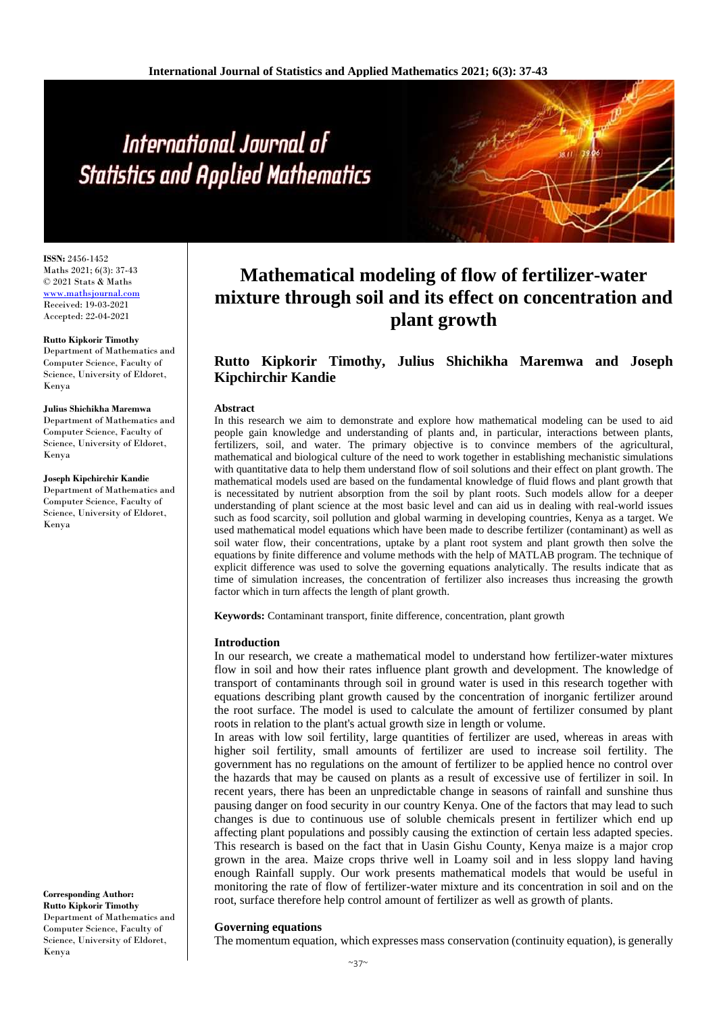# International Journal of **Statistics and Applied Mathematics**

**ISSN:** 2456-1452 Maths 2021; 6(3): 37-43 © 2021 Stats & Maths <www.mathsjournal.com> Received: 19-03-2021 Accepted: 22-04-2021

#### **Rutto Kipkorir Timothy**

Department of Mathematics and Computer Science, Faculty of Science, University of Eldoret, Kenya

#### **Julius Shichikha Maremwa**

Department of Mathematics and Computer Science, Faculty of Science, University of Eldoret, Kenya

**Joseph Kipchirchir Kandie** Department of Mathematics and Computer Science, Faculty of Science, University of Eldoret, Kenya

**Corresponding Author:**

**Rutto Kipkorir Timothy** Department of Mathematics and Computer Science, Faculty of Science, University of Eldoret, Kenya

## **Mathematical modeling of flow of fertilizer-water mixture through soil and its effect on concentration and plant growth**

### **Rutto Kipkorir Timothy, Julius Shichikha Maremwa and Joseph Kipchirchir Kandie**

#### **Abstract**

In this research we aim to demonstrate and explore how mathematical modeling can be used to aid people gain knowledge and understanding of plants and, in particular, interactions between plants, fertilizers, soil, and water. The primary objective is to convince members of the agricultural, mathematical and biological culture of the need to work together in establishing mechanistic simulations with quantitative data to help them understand flow of soil solutions and their effect on plant growth. The mathematical models used are based on the fundamental knowledge of fluid flows and plant growth that is necessitated by nutrient absorption from the soil by plant roots. Such models allow for a deeper understanding of plant science at the most basic level and can aid us in dealing with real-world issues such as food scarcity, soil pollution and global warming in developing countries, Kenya as a target. We used mathematical model equations which have been made to describe fertilizer (contaminant) as well as soil water flow, their concentrations, uptake by a plant root system and plant growth then solve the equations by finite difference and volume methods with the help of MATLAB program. The technique of explicit difference was used to solve the governing equations analytically. The results indicate that as time of simulation increases, the concentration of fertilizer also increases thus increasing the growth factor which in turn affects the length of plant growth.

**Keywords:** Contaminant transport, finite difference, concentration, plant growth

#### **Introduction**

In our research, we create a mathematical model to understand how fertilizer-water mixtures flow in soil and how their rates influence plant growth and development. The knowledge of transport of contaminants through soil in ground water is used in this research together with equations describing plant growth caused by the concentration of inorganic fertilizer around the root surface. The model is used to calculate the amount of fertilizer consumed by plant roots in relation to the plant's actual growth size in length or volume.

In areas with low soil fertility, large quantities of fertilizer are used, whereas in areas with higher soil fertility, small amounts of fertilizer are used to increase soil fertility. The government has no regulations on the amount of fertilizer to be applied hence no control over the hazards that may be caused on plants as a result of excessive use of fertilizer in soil. In recent years, there has been an unpredictable change in seasons of rainfall and sunshine thus pausing danger on food security in our country Kenya. One of the factors that may lead to such changes is due to continuous use of soluble chemicals present in fertilizer which end up affecting plant populations and possibly causing the extinction of certain less adapted species. This research is based on the fact that in Uasin Gishu County, Kenya maize is a major crop grown in the area. Maize crops thrive well in Loamy soil and in less sloppy land having enough Rainfall supply. Our work presents mathematical models that would be useful in monitoring the rate of flow of fertilizer-water mixture and its concentration in soil and on the root, surface therefore help control amount of fertilizer as well as growth of plants.

#### **Governing equations**

The momentum equation, which expresses mass conservation (continuity equation), is generally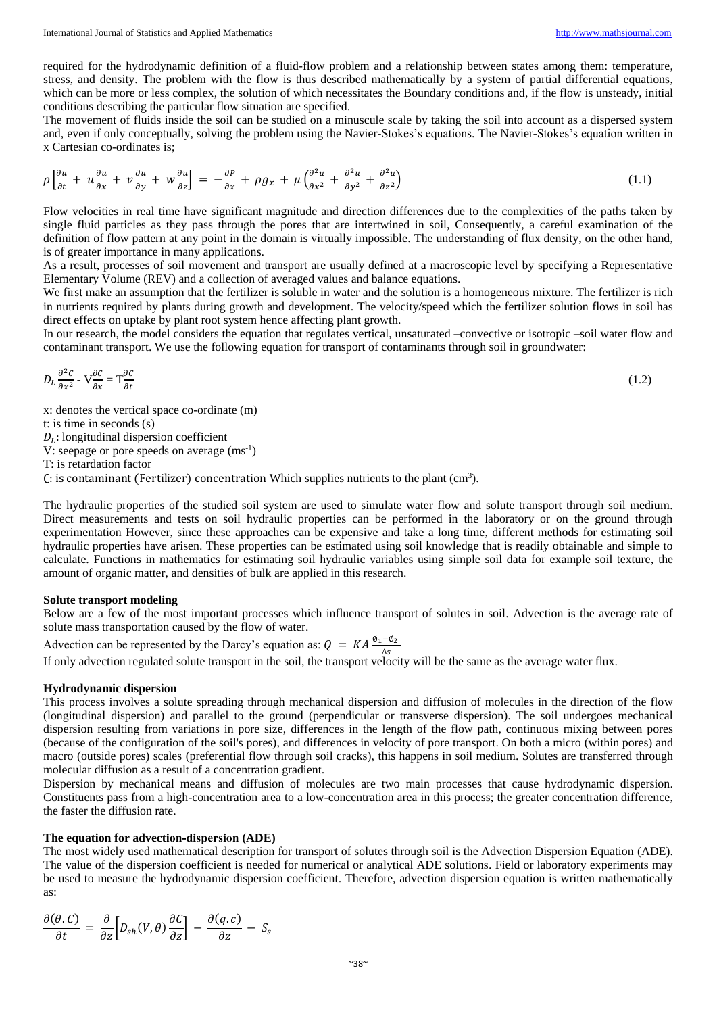required for the hydrodynamic definition of a fluid-flow problem and a relationship between states among them: temperature, stress, and density. The problem with the flow is thus described mathematically by a system of partial differential equations, which can be more or less complex, the solution of which necessitates the Boundary conditions and, if the flow is unsteady, initial conditions describing the particular flow situation are specified.

The movement of fluids inside the soil can be studied on a minuscule scale by taking the soil into account as a dispersed system and, even if only conceptually, solving the problem using the Navier-Stokes's equations. The Navier-Stokes's equation written in x Cartesian co-ordinates is;

$$
\rho \left[ \frac{\partial u}{\partial t} + u \frac{\partial u}{\partial x} + v \frac{\partial u}{\partial y} + w \frac{\partial u}{\partial z} \right] = -\frac{\partial P}{\partial x} + \rho g_x + \mu \left( \frac{\partial^2 u}{\partial x^2} + \frac{\partial^2 u}{\partial y^2} + \frac{\partial^2 u}{\partial z^2} \right) \tag{1.1}
$$

Flow velocities in real time have significant magnitude and direction differences due to the complexities of the paths taken by single fluid particles as they pass through the pores that are intertwined in soil, Consequently, a careful examination of the definition of flow pattern at any point in the domain is virtually impossible. The understanding of flux density, on the other hand, is of greater importance in many applications.

As a result, processes of soil movement and transport are usually defined at a macroscopic level by specifying a Representative Elementary Volume (REV) and a collection of averaged values and balance equations.

We first make an assumption that the fertilizer is soluble in water and the solution is a homogeneous mixture. The fertilizer is rich in nutrients required by plants during growth and development. The velocity/speed which the fertilizer solution flows in soil has direct effects on uptake by plant root system hence affecting plant growth.

In our research, the model considers the equation that regulates vertical, unsaturated –convective or isotropic –soil water flow and contaminant transport. We use the following equation for transport of contaminants through soil in groundwater:

$$
D_L \frac{\partial^2 c}{\partial x^2} - V \frac{\partial c}{\partial x} = T \frac{\partial c}{\partial t} \tag{1.2}
$$

x: denotes the vertical space co-ordinate (m)

t: is time in seconds (s)

 $D_L$ : longitudinal dispersion coefficient

V: seepage or pore speeds on average  $(ms^{-1})$ 

T: is retardation factor

C: is contaminant (Fertilizer) concentration Which supplies nutrients to the plant (cm<sup>3</sup>).

The hydraulic properties of the studied soil system are used to simulate water flow and solute transport through soil medium. Direct measurements and tests on soil hydraulic properties can be performed in the laboratory or on the ground through experimentation However, since these approaches can be expensive and take a long time, different methods for estimating soil hydraulic properties have arisen. These properties can be estimated using soil knowledge that is readily obtainable and simple to calculate. Functions in mathematics for estimating soil hydraulic variables using simple soil data for example soil texture, the amount of organic matter, and densities of bulk are applied in this research.

#### **Solute transport modeling**

Below are a few of the most important processes which influence transport of solutes in soil. Advection is the average rate of solute mass transportation caused by the flow of water.

Advection can be represented by the Darcy's equation as:  $Q = KA \frac{\phi_1 - \phi_2}{\Delta s}$ <br>If only advection regulated solute transport in the soil, the transport velocity will be the same as the average water flux.

#### **Hydrodynamic dispersion**

This process involves a solute spreading through mechanical dispersion and diffusion of molecules in the direction of the flow (longitudinal dispersion) and parallel to the ground (perpendicular or transverse dispersion). The soil undergoes mechanical dispersion resulting from variations in pore size, differences in the length of the flow path, continuous mixing between pores (because of the configuration of the soil's pores), and differences in velocity of pore transport. On both a micro (within pores) and macro (outside pores) scales (preferential flow through soil cracks), this happens in soil medium. Solutes are transferred through molecular diffusion as a result of a concentration gradient.

Dispersion by mechanical means and diffusion of molecules are two main processes that cause hydrodynamic dispersion. Constituents pass from a high-concentration area to a low-concentration area in this process; the greater concentration difference, the faster the diffusion rate.

#### **The equation for advection‐dispersion (ADE)**

The most widely used mathematical description for transport of solutes through soil is the Advection Dispersion Equation (ADE). The value of the dispersion coefficient is needed for numerical or analytical ADE solutions. Field or laboratory experiments may be used to measure the hydrodynamic dispersion coefficient. Therefore, advection dispersion equation is written mathematically as:

$$
\frac{\partial(\theta.C)}{\partial t} = \frac{\partial}{\partial z} \Big[ D_{sh}(V,\theta) \frac{\partial C}{\partial z} \Big] - \frac{\partial(q.c)}{\partial z} - S_s
$$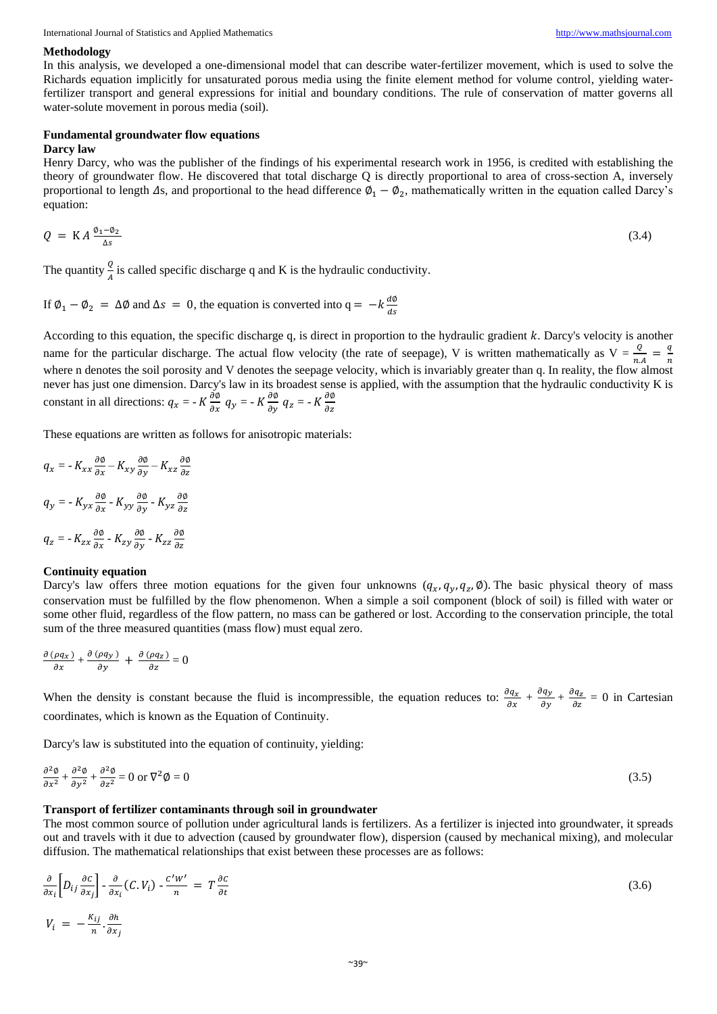International Journal of Statistics and Applied Mathematics [http://www.mathsjournal.com](http://www.mathsjournal.com/)

#### **Methodology**

In this analysis, we developed a one-dimensional model that can describe water-fertilizer movement, which is used to solve the Richards equation implicitly for unsaturated porous media using the finite element method for volume control, yielding waterfertilizer transport and general expressions for initial and boundary conditions. The rule of conservation of matter governs all water-solute movement in porous media (soil).

#### **Fundamental groundwater flow equations**

#### **Darcy law**

Henry Darcy, who was the publisher of the findings of his experimental research work in 1956, is credited with establishing the theory of groundwater flow. He discovered that total discharge Q is directly proportional to area of cross-section A, inversely proportional to length  $\Delta s$ , and proportional to the head difference  $\phi_1 - \phi_2$ , mathematically written in the equation called Darcy's equation:

$$
Q = KA \frac{\phi_1 - \phi_2}{\Delta s} \tag{3.4}
$$

The quantity  $\frac{Q}{A}$  is called specific discharge q and K is the hydraulic conductivity.

If  $\phi_1 - \phi_2 = \Delta \phi$  and  $\Delta s = 0$ , the equation is converted into  $q = -k \frac{d\phi}{ds}$ ds

According to this equation, the specific discharge q, is direct in proportion to the hydraulic gradient  $k$ . Darcy's velocity is another name for the particular discharge. The actual flow velocity (the rate of seepage), V is written mathematically as  $V = \frac{Q}{r}$  $\frac{Q}{n.A} = \frac{q}{n}$  $\boldsymbol{n}$ where n denotes the soil porosity and V denotes the seepage velocity, which is invariably greater than q. In reality, the flow almost never has just one dimension. Darcy's law in its broadest sense is applied, with the assumption that the hydraulic conductivity K is constant in all directions:  $q_x = -K \frac{\partial \phi}{\partial x} q_y = -K \frac{\partial \phi}{\partial y} q_z = -K \frac{\partial \phi}{\partial z}$  $\partial z$ 

These equations are written as follows for anisotropic materials:

$$
q_x = -K_{xx} \frac{\partial \phi}{\partial x} - K_{xy} \frac{\partial \phi}{\partial y} - K_{xz} \frac{\partial \phi}{\partial z}
$$

$$
q_y = -K_{yx} \frac{\partial \phi}{\partial x} - K_{yy} \frac{\partial \phi}{\partial y} - K_{yz} \frac{\partial \phi}{\partial z}
$$

$$
q_z = -K_{zx} \frac{\partial \phi}{\partial x} - K_{zy} \frac{\partial \phi}{\partial y} - K_{zz} \frac{\partial \phi}{\partial z}
$$

#### **Continuity equation**

Darcy's law offers three motion equations for the given four unknowns  $(q_x, q_y, q_z, \emptyset)$ . The basic physical theory of mass conservation must be fulfilled by the flow phenomenon. When a simple a soil component (block of soil) is filled with water or some other fluid, regardless of the flow pattern, no mass can be gathered or lost. According to the conservation principle, the total sum of the three measured quantities (mass flow) must equal zero.

$$
\frac{\partial (\rho q_x)}{\partial x} + \frac{\partial (\rho q_y)}{\partial y} + \frac{\partial (\rho q_z)}{\partial z} = 0
$$

When the density is constant because the fluid is incompressible, the equation reduces to:  $\frac{\partial q_x}{\partial x} + \frac{\partial q_y}{\partial y} + \frac{\partial q_z}{\partial z} = 0$  in Cartesian coordinates, which is known as the Equation of Continuity.

Darcy's law is substituted into the equation of continuity, yielding:

$$
\frac{\partial^2 \phi}{\partial x^2} + \frac{\partial^2 \phi}{\partial y^2} + \frac{\partial^2 \phi}{\partial z^2} = 0 \text{ or } \nabla^2 \phi = 0
$$
\n(3.5)

#### **Transport of fertilizer contaminants through soil in groundwater**

The most common source of pollution under agricultural lands is fertilizers. As a fertilizer is injected into groundwater, it spreads out and travels with it due to advection (caused by groundwater flow), dispersion (caused by mechanical mixing), and molecular diffusion. The mathematical relationships that exist between these processes are as follows:

$$
\frac{\partial}{\partial x_i} \left[ D_{ij} \frac{\partial c}{\partial x_j} \right] - \frac{\partial}{\partial x_i} (C, V_i) - \frac{c'w'}{n} = T \frac{\partial c}{\partial t}
$$
\n
$$
V_i = -\frac{\kappa_{ij}}{n} \cdot \frac{\partial h}{\partial x_j}
$$
\n(3.6)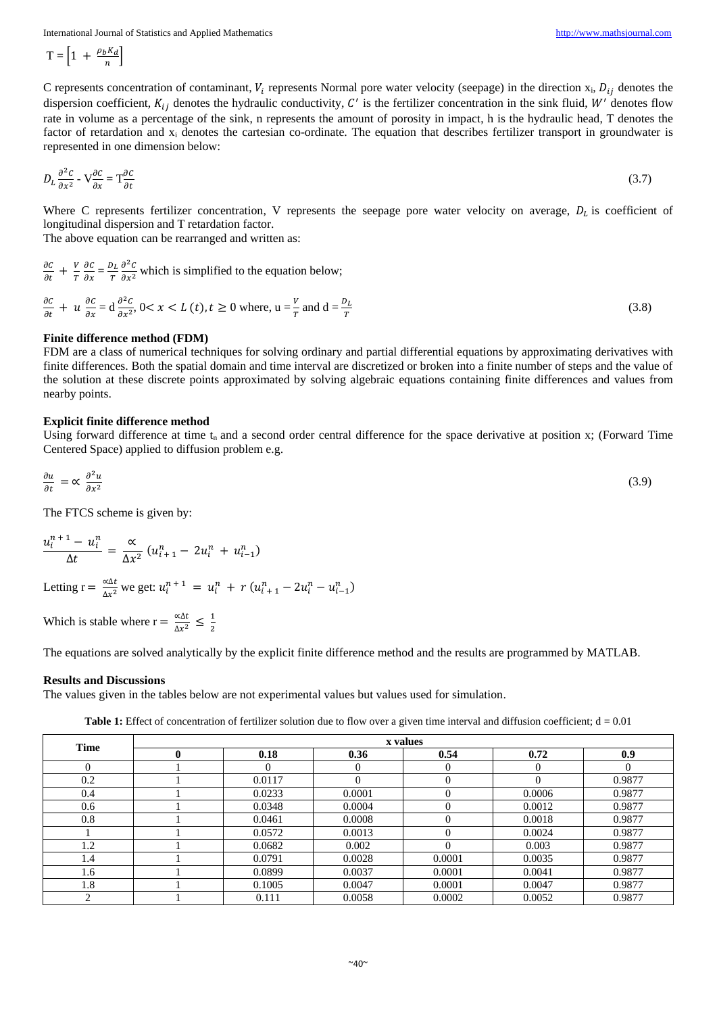International Journal of Statistics and Applied Mathematics [http://www.mathsjournal.com](http://www.mathsjournal.com/)

$$
T = \left[1 + \frac{\rho_b K_d}{n}\right]
$$

C represents concentration of contaminant,  $V_i$  represents Normal pore water velocity (seepage) in the direction  $x_i$ ,  $D_{ij}$  denotes the dispersion coefficient,  $K_{ij}$  denotes the hydraulic conductivity, C' is the fertilizer concentration in the sink fluid, W' denotes flow rate in volume as a percentage of the sink, n represents the amount of porosity in impact, h is the hydraulic head, T denotes the factor of retardation and x<sub>i</sub> denotes the cartesian co-ordinate. The equation that describes fertilizer transport in groundwater is represented in one dimension below:

$$
D_L \frac{\partial^2 c}{\partial x^2} - V \frac{\partial c}{\partial x} = T \frac{\partial c}{\partial t} \tag{3.7}
$$

Where C represents fertilizer concentration, V represents the seepage pore water velocity on average,  $D_L$  is coefficient of longitudinal dispersion and T retardation factor.

The above equation can be rearranged and written as:

$$
\frac{\partial c}{\partial t} + \frac{v}{T} \frac{\partial c}{\partial x} = \frac{D_L}{T} \frac{\partial^2 c}{\partial x^2}
$$
 which is simplified to the equation below;  

$$
\frac{\partial c}{\partial t} + u \frac{\partial c}{\partial x} = d \frac{\partial^2 c}{\partial x^2}, 0 < x < L(t), t \ge 0
$$
 where,  $u = \frac{v}{T}$  and  $d = \frac{D_L}{T}$  (3.8)

#### **Finite difference method (FDM)**

FDM are a class of numerical techniques for solving ordinary and partial differential equations by approximating derivatives with finite differences. Both the spatial domain and time interval are discretized or broken into a finite number of steps and the value of the solution at these discrete points approximated by solving algebraic equations containing finite differences and values from nearby points.

#### **Explicit finite difference method**

Using forward difference at time  $t_n$  and a second order central difference for the space derivative at position x; (Forward Time Centered Space) applied to diffusion problem e.g.

$$
\frac{\partial u}{\partial t} = \alpha \frac{\partial^2 u}{\partial x^2} \tag{3.9}
$$

The FTCS scheme is given by:

$$
\frac{u_i^{n+1} - u_i^n}{\Delta t} = \frac{\alpha}{\Delta x^2} (u_{i+1}^n - 2u_i^n + u_{i-1}^n)
$$

Letting r =  $\frac{\alpha \Delta t}{\Delta t}$  $\frac{\alpha \Delta t}{\Delta x^2}$  we get:  $u_i^{n+1} = u_i^n + r(u_{i+1}^n - 2u_i^n - u_{i-1}^n)$ 

Which is stable where  $r = \frac{\alpha \Delta t}{\Delta t^2}$  $rac{\alpha \Delta t}{\Delta x^2} \leq \frac{1}{2}$ 2

The equations are solved analytically by the explicit finite difference method and the results are programmed by MATLAB.

#### **Results and Discussions**

The values given in the tables below are not experimental values but values used for simulation.

**Table 1:** Effect of concentration of fertilizer solution due to flow over a given time interval and diffusion coefficient;  $d = 0.01$ 

| <b>Time</b> | x values |          |        |        |          |          |  |
|-------------|----------|----------|--------|--------|----------|----------|--|
|             |          | 0.18     | 0.36   | 0.54   | 0.72     | 0.9      |  |
|             |          | $\Omega$ |        |        | $\Omega$ | $\Omega$ |  |
| 0.2         |          | 0.0117   |        | 0      | $\Omega$ | 0.9877   |  |
| 0.4         |          | 0.0233   | 0.0001 | 0      | 0.0006   | 0.9877   |  |
| 0.6         |          | 0.0348   | 0.0004 |        | 0.0012   | 0.9877   |  |
| 0.8         |          | 0.0461   | 0.0008 |        | 0.0018   | 0.9877   |  |
|             |          | 0.0572   | 0.0013 |        | 0.0024   | 0.9877   |  |
| 1.2         |          | 0.0682   | 0.002  |        | 0.003    | 0.9877   |  |
| 1.4         |          | 0.0791   | 0.0028 | 0.0001 | 0.0035   | 0.9877   |  |
| 1.6         |          | 0.0899   | 0.0037 | 0.0001 | 0.0041   | 0.9877   |  |
| 1.8         |          | 0.1005   | 0.0047 | 0.0001 | 0.0047   | 0.9877   |  |
|             |          | 0.111    | 0.0058 | 0.0002 | 0.0052   | 0.9877   |  |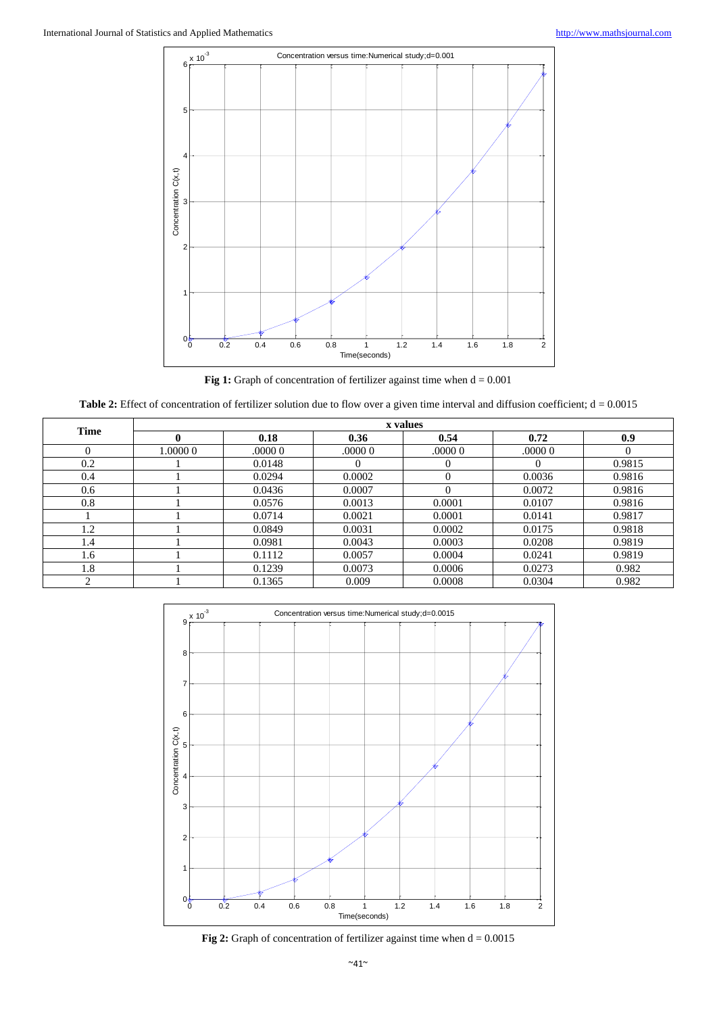

**Fig 1:** Graph of concentration of fertilizer against time when  $d = 0.001$ 

Table 2: Effect of concentration of fertilizer solution due to flow over a given time interval and diffusion coefficient; d = 0.0015

| <b>Time</b> | x values |         |          |          |          |          |  |
|-------------|----------|---------|----------|----------|----------|----------|--|
|             | 0        | 0.18    | 0.36     | 0.54     | 0.72     | 0.9      |  |
| $\theta$    | 1.0000 0 | .0000 0 | .00000   | .0000 0  | .0000 0  | $\Omega$ |  |
| 0.2         |          | 0.0148  | $\theta$ | 0        | $\Omega$ | 0.9815   |  |
| 0.4         |          | 0.0294  | 0.0002   | 0        | 0.0036   | 0.9816   |  |
| 0.6         |          | 0.0436  | 0.0007   | $\Omega$ | 0.0072   | 0.9816   |  |
| 0.8         |          | 0.0576  | 0.0013   | 0.0001   | 0.0107   | 0.9816   |  |
|             |          | 0.0714  | 0.0021   | 0.0001   | 0.0141   | 0.9817   |  |
| 1.2         |          | 0.0849  | 0.0031   | 0.0002   | 0.0175   | 0.9818   |  |
| 1.4         |          | 0.0981  | 0.0043   | 0.0003   | 0.0208   | 0.9819   |  |
| 1.6         |          | 0.1112  | 0.0057   | 0.0004   | 0.0241   | 0.9819   |  |
| 1.8         |          | 0.1239  | 0.0073   | 0.0006   | 0.0273   | 0.982    |  |
| ◠           |          | 0.1365  | 0.009    | 0.0008   | 0.0304   | 0.982    |  |



**Fig 2:** Graph of concentration of fertilizer against time when  $d = 0.0015$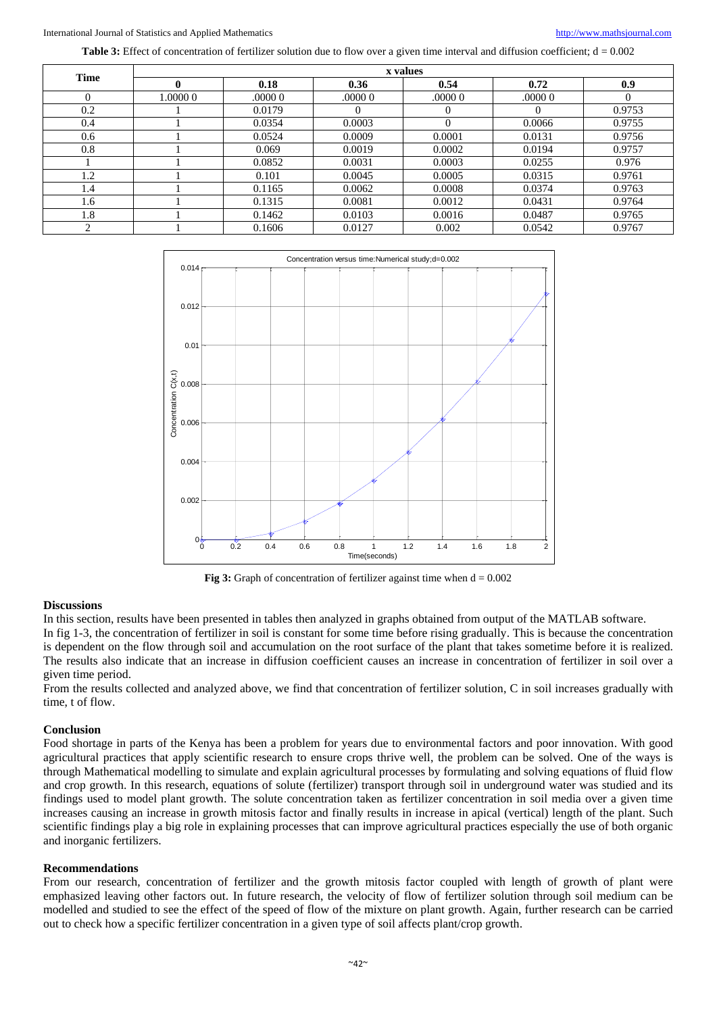International Journal of Statistics and Applied Mathematics [http://www.mathsjournal.com](http://www.mathsjournal.com/)

Table 3: Effect of concentration of fertilizer solution due to flow over a given time interval and diffusion coefficient; d = 0.002

| Time     | x values |        |          |          |          |          |  |
|----------|----------|--------|----------|----------|----------|----------|--|
|          |          | 0.18   | 0.36     | 0.54     | 0.72     | 0.9      |  |
| $\Omega$ | 1.0000 0 | 00000  | .00000   | .00000   | .00000   | $\Omega$ |  |
| 0.2      |          | 0.0179 | $\theta$ | $^{(1)}$ | $\theta$ | 0.9753   |  |
| 0.4      |          | 0.0354 | 0.0003   | $\theta$ | 0.0066   | 0.9755   |  |
| 0.6      |          | 0.0524 | 0.0009   | 0.0001   | 0.0131   | 0.9756   |  |
| 0.8      |          | 0.069  | 0.0019   | 0.0002   | 0.0194   | 0.9757   |  |
|          |          | 0.0852 | 0.0031   | 0.0003   | 0.0255   | 0.976    |  |
| 1.2      |          | 0.101  | 0.0045   | 0.0005   | 0.0315   | 0.9761   |  |
| 1.4      |          | 0.1165 | 0.0062   | 0.0008   | 0.0374   | 0.9763   |  |
| 1.6      |          | 0.1315 | 0.0081   | 0.0012   | 0.0431   | 0.9764   |  |
| 1.8      |          | 0.1462 | 0.0103   | 0.0016   | 0.0487   | 0.9765   |  |
| ◠        |          | 0.1606 | 0.0127   | 0.002    | 0.0542   | 0.9767   |  |



**Fig 3:** Graph of concentration of fertilizer against time when  $d = 0.002$ 

#### **Discussions**

In this section, results have been presented in tables then analyzed in graphs obtained from output of the MATLAB software. In fig 1-3, the concentration of fertilizer in soil is constant for some time before rising gradually. This is because the concentration is dependent on the flow through soil and accumulation on the root surface of the plant that takes sometime before it is realized. The results also indicate that an increase in diffusion coefficient causes an increase in concentration of fertilizer in soil over a given time period.

From the results collected and analyzed above, we find that concentration of fertilizer solution, C in soil increases gradually with time, t of flow.

#### **Conclusion**

Food shortage in parts of the Kenya has been a problem for years due to environmental factors and poor innovation. With good agricultural practices that apply scientific research to ensure crops thrive well, the problem can be solved. One of the ways is through Mathematical modelling to simulate and explain agricultural processes by formulating and solving equations of fluid flow and crop growth. In this research, equations of solute (fertilizer) transport through soil in underground water was studied and its findings used to model plant growth. The solute concentration taken as fertilizer concentration in soil media over a given time increases causing an increase in growth mitosis factor and finally results in increase in apical (vertical) length of the plant. Such scientific findings play a big role in explaining processes that can improve agricultural practices especially the use of both organic and inorganic fertilizers.

#### **Recommendations**

From our research, concentration of fertilizer and the growth mitosis factor coupled with length of growth of plant were emphasized leaving other factors out. In future research, the velocity of flow of fertilizer solution through soil medium can be modelled and studied to see the effect of the speed of flow of the mixture on plant growth. Again, further research can be carried out to check how a specific fertilizer concentration in a given type of soil affects plant/crop growth.